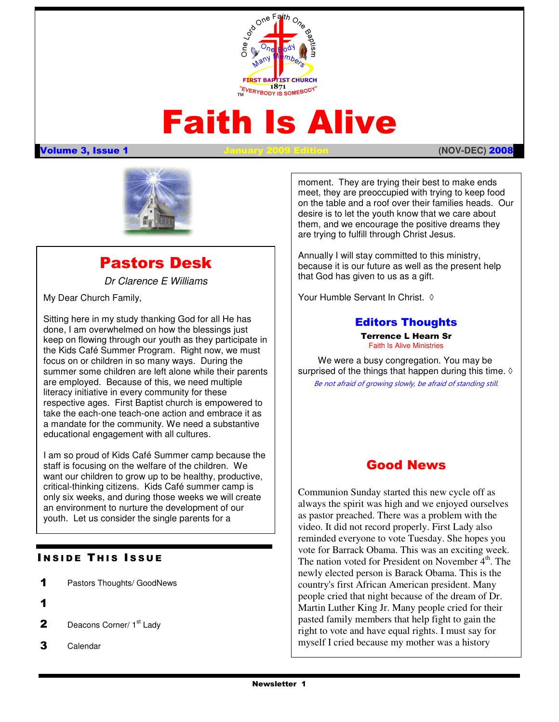

# Faith Is Alive

#### Volume 3, Issue 1 January 2009 Edition **(NOV-DEC)** 2008



# Pastors Desk

Dr Clarence E Williams

My Dear Church Family,

the Kids Café Summer Program. Right now, we must Sitting here in my study thanking God for all He has done, I am overwhelmed on how the blessings just keep on flowing through our youth as they participate in focus on or children in so many ways. During the summer some children are left alone while their parents are employed. Because of this, we need multiple literacy initiative in every community for these respective ages. First Baptist church is empowered to take the each-one teach-one action and embrace it as a mandate for the community. We need a substantive educational engagement with all cultures.

I am so proud of Kids Café Summer camp because the staff is focusing on the welfare of the children. We want our children to grow up to be healthy, productive, critical-thinking citizens. Kids Café summer camp is only six weeks, and during those weeks we will create an environment to nurture the development of our youth. Let us consider the single parents for a

#### **INSIDE THIS ISSUE**

- 1 Pastors Thoughts/ GoodNews
- 1
- **2** Deacons Corner/  $1<sup>st</sup>$  Lady
- 3 Calendar

moment. They are trying their best to make ends meet, they are preoccupied with trying to keep food on the table and a roof over their families heads. Our desire is to let the youth know that we care about them, and we encourage the positive dreams they are trying to fulfill through Christ Jesus.

Annually I will stay committed to this ministry, because it is our future as well as the present help that God has given to us as a gift.

Your Humble Servant In Christ. ◊

### Editors Thoughts

Terrence L Hearn Sr Faith Is Alive Ministries

We were a busy congregation. You may be surprised of the things that happen during this time.  $\Diamond$ Be not afraid of growing slowly, be afraid of standing still.

# Good News

 people cried that night because of the dream of Dr. Communion Sunday started this new cycle off as always the spirit was high and we enjoyed ourselves as pastor preached. There was a problem with the video. It did not record properly. First Lady also reminded everyone to vote Tuesday. She hopes you vote for Barrack Obama. This was an exciting week. The nation voted for President on November  $4<sup>th</sup>$ . The newly elected person is Barack Obama. This is the country's first African American president. Many Martin Luther King Jr. Many people cried for their pasted family members that help fight to gain the right to vote and have equal rights. I must say for myself I cried because my mother was a history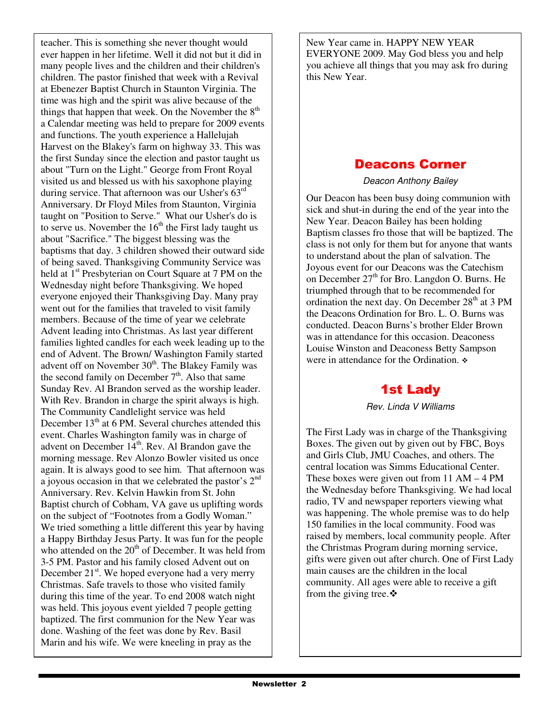teacher. This is something she never thought would ever happen in her lifetime. Well it did not but it did in many people lives and the children and their children's children. The pastor finished that week with a Revival at Ebenezer Baptist Church in Staunton Virginia. The time was high and the spirit was alive because of the things that happen that week. On the November the  $8<sup>th</sup>$ a Calendar meeting was held to prepare for 2009 events and functions. The youth experience a Hallelujah Harvest on the Blakey's farm on highway 33. This was the first Sunday since the election and pastor taught us about "Turn on the Light." George from Front Royal visited us and blessed us with his saxophone playing during service. That afternoon was our Usher's 63<sup>rd</sup> Anniversary. Dr Floyd Miles from Staunton, Virginia taught on "Position to Serve." What our Usher's do is to serve us. November the  $16<sup>th</sup>$  the First lady taught us about "Sacrifice." The biggest blessing was the baptisms that day. 3 children showed their outward side of being saved. Thanksgiving Community Service was held at  $1<sup>st</sup>$  Presbyterian on Court Square at 7 PM on the Wednesday night before Thanksgiving. We hoped everyone enjoyed their Thanksgiving Day. Many pray went out for the families that traveled to visit family members. Because of the time of year we celebrate Advent leading into Christmas. As last year different families lighted candles for each week leading up to the end of Advent. The Brown/ Washington Family started advent off on November  $30<sup>th</sup>$ . The Blakey Family was the second family on December  $7<sup>th</sup>$ . Also that same Sunday Rev. Al Brandon served as the worship leader. With Rev. Brandon in charge the spirit always is high. The Community Candlelight service was held December  $13<sup>th</sup>$  at 6 PM. Several churches attended this event. Charles Washington family was in charge of advent on December  $14<sup>th</sup>$ . Rev. Al Brandon gave the morning message. Rev Alonzo Bowler visited us once again. It is always good to see him. That afternoon was a joyous occasion in that we celebrated the pastor's  $2<sup>nd</sup>$ Anniversary. Rev. Kelvin Hawkin from St. John Baptist church of Cobham, VA gave us uplifting words on the subject of "Footnotes from a Godly Woman." We tried something a little different this year by having a Happy Birthday Jesus Party. It was fun for the people who attended on the  $20<sup>th</sup>$  of December. It was held from 3-5 PM. Pastor and his family closed Advent out on December  $21<sup>st</sup>$ . We hoped everyone had a very merry Christmas. Safe travels to those who visited family during this time of the year. To end 2008 watch night was held. This joyous event yielded 7 people getting baptized. The first communion for the New Year was done. Washing of the feet was done by Rev. Basil Marin and his wife. We were kneeling in pray as the

New Year came in. HAPPY NEW YEAR EVERYONE 2009. May God bless you and help you achieve all things that you may ask fro during this New Year.

# Deacons Corner

Deacon Anthony Bailey

Our Deacon has been busy doing communion with sick and shut-in during the end of the year into the New Year. Deacon Bailey has been holding Baptism classes fro those that will be baptized. The class is not only for them but for anyone that wants to understand about the plan of salvation. The Joyous event for our Deacons was the Catechism on December  $27<sup>th</sup>$  for Bro. Langdon O. Burns. He triumphed through that to be recommended for ordination the next day. On December  $28<sup>th</sup>$  at 3 PM the Deacons Ordination for Bro. L. O. Burns was conducted. Deacon Burns's brother Elder Brown was in attendance for this occasion. Deaconess Louise Winston and Deaconess Betty Sampson were in attendance for the Ordination.  $\ast$ 

# 1st Lady

Rev. Linda V Williams

The First Lady was in charge of the Thanksgiving Boxes. The given out by given out by FBC, Boys and Girls Club, JMU Coaches, and others. The central location was Simms Educational Center. These boxes were given out from 11 AM – 4 PM the Wednesday before Thanksgiving. We had local radio, TV and newspaper reporters viewing what was happening. The whole premise was to do help 150 families in the local community. Food was raised by members, local community people. After the Christmas Program during morning service, gifts were given out after church. One of First Lady main causes are the children in the local community. All ages were able to receive a gift from the giving tree.  $\mathbf{\hat{v}}$